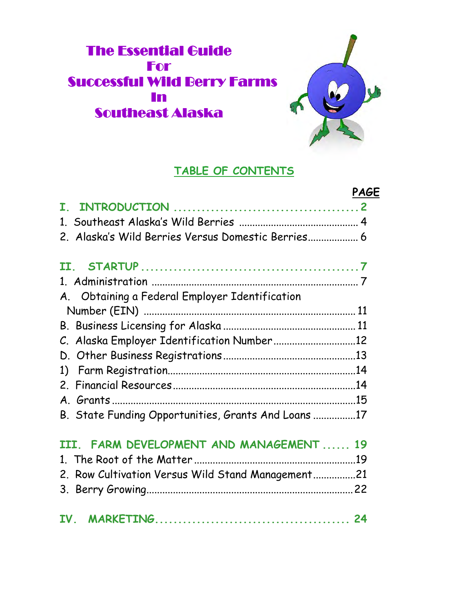# **The Essential Guide** For **Successful Wild Berry Farms** In Southeast Alaska



# **TABLE OF CONTENTS**

|                                                     | PAGE |
|-----------------------------------------------------|------|
| ${\bf T}$                                           |      |
|                                                     |      |
| 2. Alaska's Wild Berries Versus Domestic Berries 6  |      |
|                                                     |      |
|                                                     |      |
| A. Obtaining a Federal Employer Identification      |      |
|                                                     |      |
|                                                     |      |
| C. Alaska Employer Identification Number12          |      |
|                                                     |      |
| 1)                                                  |      |
|                                                     |      |
|                                                     |      |
| B. State Funding Opportunities, Grants And Loans 17 |      |
| III. FARM DEVELOPMENT AND MANAGEMENT 19             |      |
|                                                     |      |
| 2. Row Cultivation Versus Wild Stand Management21   |      |
|                                                     |      |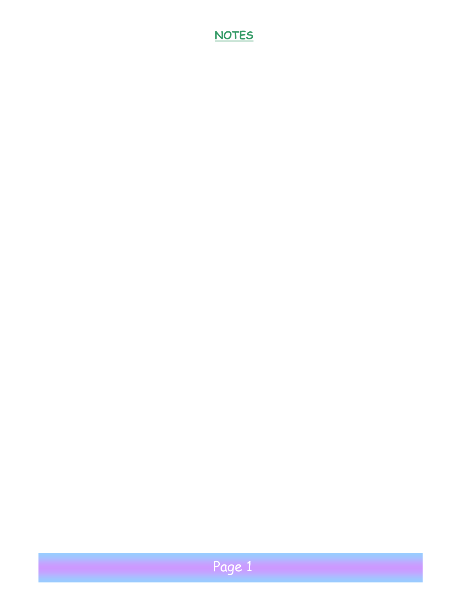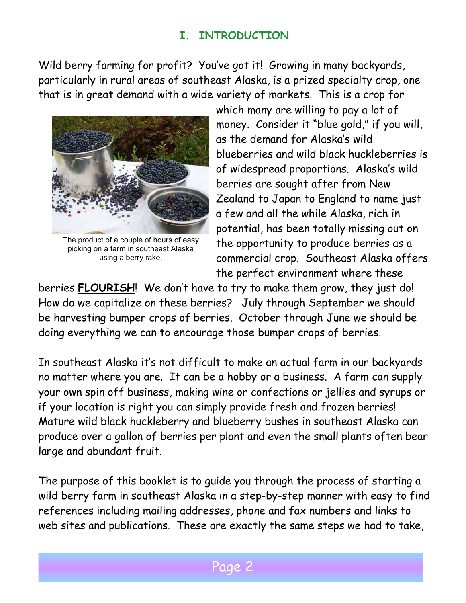# **I. INTRODUCTION**

Wild berry farming for profit? You've got it! Growing in many backyards, particularly in rural areas of southeast Alaska, is a prized specialty crop, one that is in great demand with a wide variety of markets. This is a crop for



The product of a couple of hours of easy picking on a farm in southeast Alaska using a berry rake.

which many are willing to pay a lot of money. Consider it "blue gold," if you will, as the demand for Alaska's wild blueberries and wild black huckleberries is of widespread proportions. Alaska's wild berries are sought after from New Zealand to Japan to England to name just a few and all the while Alaska, rich in potential, has been totally missing out on the opportunity to produce berries as a commercial crop. Southeast Alaska offers the perfect environment where these

berries **FLOURISH**! We don't have to try to make them grow, they just do! How do we capitalize on these berries? July through September we should be harvesting bumper crops of berries. October through June we should be doing everything we can to encourage those bumper crops of berries.

In southeast Alaska it's not difficult to make an actual farm in our backyards no matter where you are. It can be a hobby or a business. A farm can supply your own spin off business, making wine or confections or jellies and syrups or if your location is right you can simply provide fresh and frozen berries! Mature wild black huckleberry and blueberry bushes in southeast Alaska can produce over a gallon of berries per plant and even the small plants often bear large and abundant fruit.

The purpose of this booklet is to guide you through the process of starting a wild berry farm in southeast Alaska in a step-by-step manner with easy to find references including mailing addresses, phone and fax numbers and links to web sites and publications. These are exactly the same steps we had to take,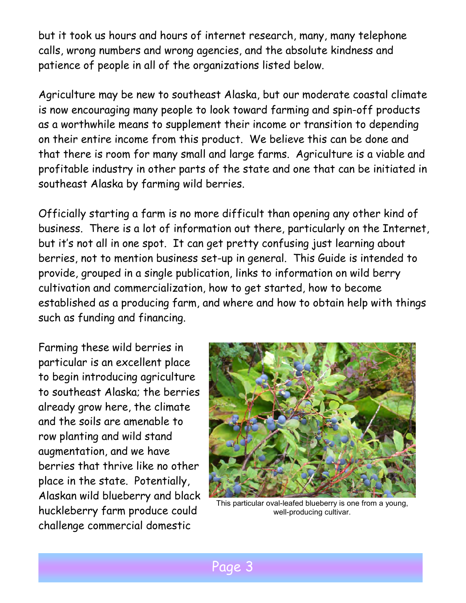but it took us hours and hours of internet research, many, many telephone calls, wrong numbers and wrong agencies, and the absolute kindness and patience of people in all of the organizations listed below.

Agriculture may be new to southeast Alaska, but our moderate coastal climate is now encouraging many people to look toward farming and spin-off products as a worthwhile means to supplement their income or transition to depending on their entire income from this product. We believe this can be done and that there is room for many small and large farms. Agriculture is a viable and profitable industry in other parts of the state and one that can be initiated in southeast Alaska by farming wild berries.

Officially starting a farm is no more difficult than opening any other kind of business. There is a lot of information out there, particularly on the Internet, but it's not all in one spot. It can get pretty confusing just learning about berries, not to mention business set-up in general. This Guide is intended to provide, grouped in a single publication, links to information on wild berry cultivation and commercialization, how to get started, how to become established as a producing farm, and where and how to obtain help with things such as funding and financing.

Farming these wild berries in particular is an excellent place to begin introducing agriculture to southeast Alaska; the berries already grow here, the climate and the soils are amenable to row planting and wild stand augmentation, and we have berries that thrive like no other place in the state. Potentially, Alaskan wild blueberry and black huckleberry farm produce could challenge commercial domestic



This particular oval-leafed blueberry is one from a young, well-producing cultivar.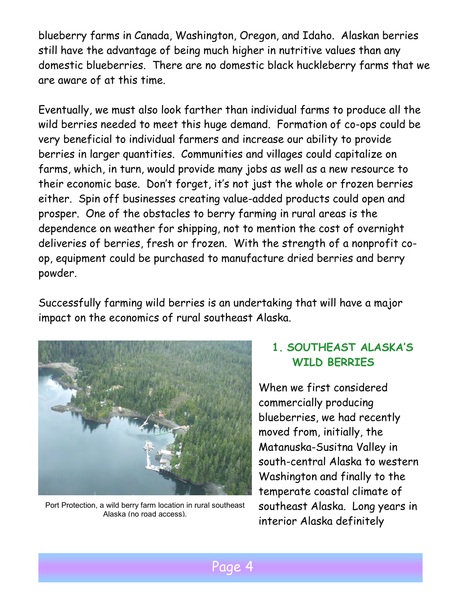blueberry farms in Canada, Washington, Oregon, and Idaho. Alaskan berries still have the advantage of being much higher in nutritive values than any domestic blueberries. There are no domestic black huckleberry farms that we are aware of at this time.

Eventually, we must also look farther than individual farms to produce all the wild berries needed to meet this huge demand. Formation of co-ops could be very beneficial to individual farmers and increase our ability to provide berries in larger quantities. Communities and villages could capitalize on farms, which, in turn, would provide many jobs as well as a new resource to their economic base. Don't forget, it's not just the whole or frozen berries either. Spin off businesses creating value-added products could open and prosper. One of the obstacles to berry farming in rural areas is the dependence on weather for shipping, not to mention the cost of overnight deliveries of berries, fresh or frozen. With the strength of a nonprofit coop, equipment could be purchased to manufacture dried berries and berry powder.

Successfully farming wild berries is an undertaking that will have a major impact on the economics of rural southeast Alaska.



Port Protection, a wild berry farm location in rural southeast Alaska (no road access).

# **1. SOUTHEAST ALASKA'S WILD BERRIES**

When we first considered commercially producing blueberries, we had recently moved from, initially, the Matanuska-Susitna Valley in south-central Alaska to western Washington and finally to the temperate coastal climate of southeast Alaska. Long years in interior Alaska definitely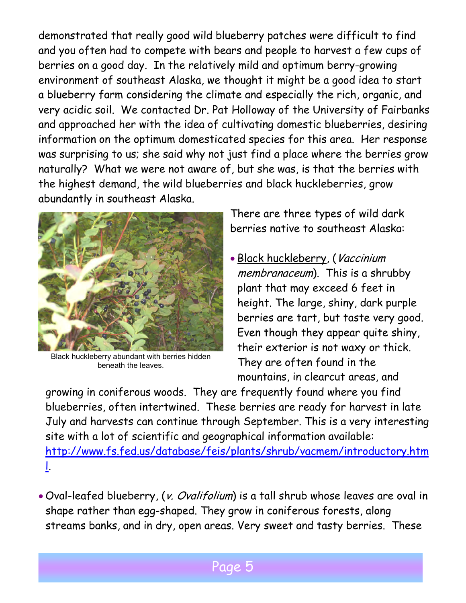demonstrated that really good wild blueberry patches were difficult to find and you often had to compete with bears and people to harvest a few cups of berries on a good day. In the relatively mild and optimum berry-growing environment of southeast Alaska, we thought it might be a good idea to start a blueberry farm considering the climate and especially the rich, organic, and very acidic soil. We contacted Dr. Pat Holloway of the University of Fairbanks and approached her with the idea of cultivating domestic blueberries, desiring information on the optimum domesticated species for this area. Her response was surprising to us; she said why not just find a place where the berries grow naturally? What we were not aware of, but she was, is that the berries with the highest demand, the wild blueberries and black huckleberries, grow abundantly in southeast Alaska.



Black huckleberry abundant with berries hidden beneath the leaves.

There are three types of wild dark berries native to southeast Alaska:

• Black huckleberry, (Vaccinium membranaceum). This is a shrubby plant that may exceed 6 feet in height. The large, shiny, dark purple berries are tart, but taste very good. Even though they appear quite shiny, their exterior is not waxy or thick. They are often found in the mountains, in clearcut areas, and

growing in coniferous woods. They are frequently found where you find blueberries, often intertwined. These berries are ready for harvest in late July and harvests can continue through September. This is a very interesting site with a lot of scientific and geographical information available: [http://www.fs.fed.us/database/feis/plants/shrub/vacmem/introductory.htm](http://www.fs.fed.us/database/feis/plants/shrub/vacmem/introductory.html) [l.](http://www.fs.fed.us/database/feis/plants/shrub/vacmem/introductory.html)

• Oval-leafed blueberry, (v. Ovalifolium) is a tall shrub whose leaves are oval in shape rather than egg-shaped. They grow in coniferous forests, along streams banks, and in dry, open areas. Very sweet and tasty berries. These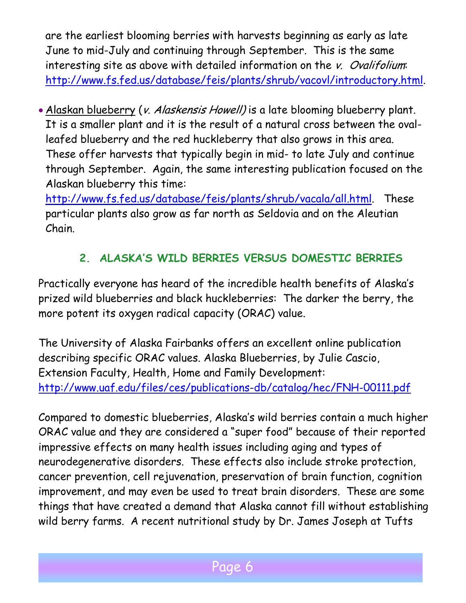are the earliest blooming berries with harvests beginning as early as late June to mid-July and continuing through September. This is the same interesting site as above with detailed information on the v. Ovalifolium: [http://www.fs.fed.us/database/feis/plants/shrub/vacovl/introductory.html.](http://www.fs.fed.us/database/feis/plants/shrub/vacovl/introductory.html)

• Alaskan blueberry (v. Alaskensis Howell) is a late blooming blueberry plant. It is a smaller plant and it is the result of a natural cross between the ovalleafed blueberry and the red huckleberry that also grows in this area. These offer harvests that typically begin in mid- to late July and continue through September. Again, the same interesting publication focused on the Alaskan blueberry this time:

[http://www.fs.fed.us/database/feis/plants/shrub/vacala/all.html.](http://www.fs.fed.us/database/feis/plants/shrub/vacala/all.html) These particular plants also grow as far north as Seldovia and on the Aleutian Chain.

# **2. ALASKA'S WILD BERRIES VERSUS DOMESTIC BERRIES**

Practically everyone has heard of the incredible health benefits of Alaska's prized wild blueberries and black huckleberries: The darker the berry, the more potent its oxygen radical capacity (ORAC) value.

The University of Alaska Fairbanks offers an excellent online publication describing specific ORAC values. Alaska Blueberries, by Julie Cascio, Extension Faculty, Health, Home and Family Development: <http://www.uaf.edu/files/ces/publications-db/catalog/hec/FNH-00111.pdf>

Compared to domestic blueberries, Alaska's wild berries contain a much higher ORAC value and they are considered a "super food" because of their reported impressive effects on many health issues including aging and types of neurodegenerative disorders. These effects also include stroke protection, cancer prevention, cell rejuvenation, preservation of brain function, cognition improvement, and may even be used to treat brain disorders. These are some things that have created a demand that Alaska cannot fill without establishing wild berry farms. A recent nutritional study by Dr. James Joseph at Tufts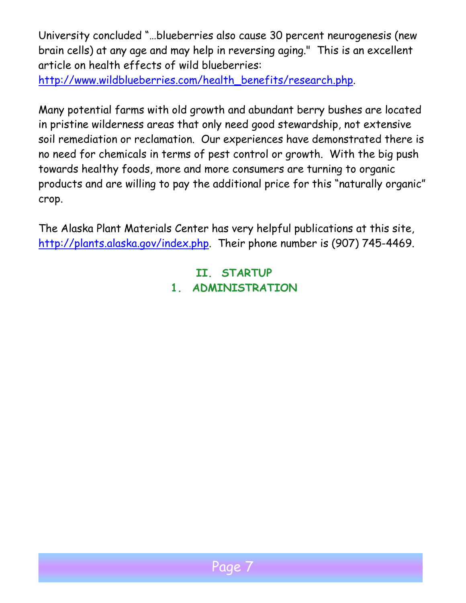University concluded "…blueberries also cause 30 percent neurogenesis (new brain cells) at any age and may help in reversing aging." This is an excellent article on health effects of wild blueberries:

[http://www.wildblueberries.com/health\\_benefits/research.php.](http://www.wildblueberries.com/health_benefits/research.php)

Many potential farms with old growth and abundant berry bushes are located in pristine wilderness areas that only need good stewardship, not extensive soil remediation or reclamation. Our experiences have demonstrated there is no need for chemicals in terms of pest control or growth. With the big push towards healthy foods, more and more consumers are turning to organic products and are willing to pay the additional price for this "naturally organic" crop.

The Alaska Plant Materials Center has very helpful publications at this site, [http://plants.alaska.gov/index.php.](http://plants.alaska.gov/index.php) Their phone number is (907) 745-4469.

> **II. STARTUP 1. ADMINISTRATION**

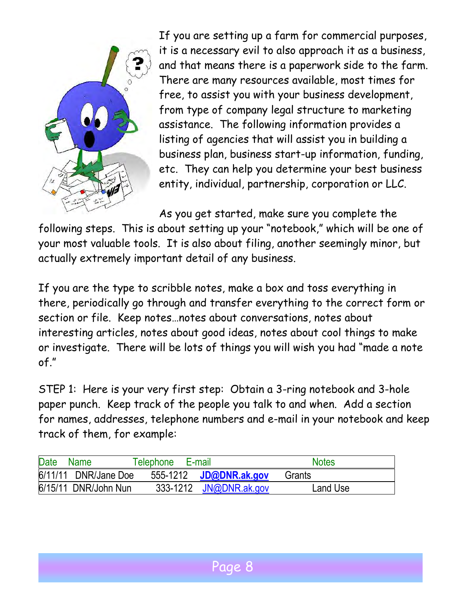

If you are setting up a farm for commercial purposes, it is a necessary evil to also approach it as a business, and that means there is a paperwork side to the farm. There are many resources available, most times for free, to assist you with your business development, from type of company legal structure to marketing assistance. The following information provides a listing of agencies that will assist you in building a business plan, business start-up information, funding, etc. They can help you determine your best business entity, individual, partnership, corporation or LLC.

As you get started, make sure you complete the

following steps. This is about setting up your "notebook," which will be one of your most valuable tools. It is also about filing, another seemingly minor, but actually extremely important detail of any business.

If you are the type to scribble notes, make a box and toss everything in there, periodically go through and transfer everything to the correct form or section or file. Keep notes…notes about conversations, notes about interesting articles, notes about good ideas, notes about cool things to make or investigate. There will be lots of things you will wish you had "made a note of."

STEP 1: Here is your very first step: Obtain a 3-ring notebook and 3-hole paper punch. Keep track of the people you talk to and when. Add a section for names, addresses, telephone numbers and e-mail in your notebook and keep track of them, for example:

| <b>Date</b> | Name                 | Telephone<br>E-mail |                        | <b>Notes</b> |  |
|-------------|----------------------|---------------------|------------------------|--------------|--|
|             | 6/11/11 DNR/Jane Doe |                     | 555-1212 JD@DNR.ak.gov | Grants       |  |
|             | 6/15/11 DNR/John Nun |                     | 333-1212 JN@DNR.ak.gov | Land Use     |  |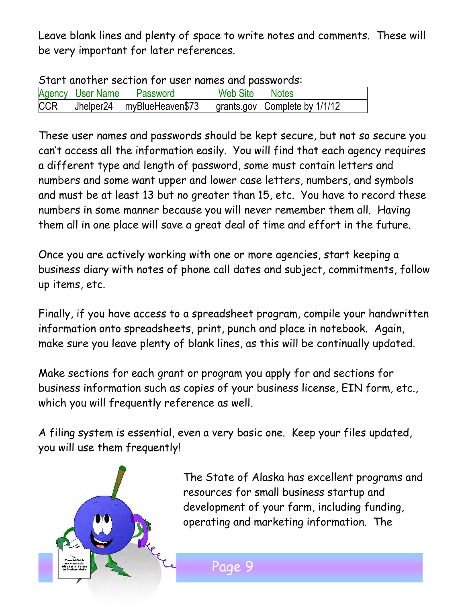Leave blank lines and plenty of space to write notes and comments. These will be very important for later references.

| Start another section for user names and passwords: |  |                           |                |                                                          |  |  |  |  |
|-----------------------------------------------------|--|---------------------------|----------------|----------------------------------------------------------|--|--|--|--|
|                                                     |  | Agency User Name Password | Web Site Notes |                                                          |  |  |  |  |
| CCR                                                 |  |                           |                | Jhelper24 myBlueHeaven\$73 grants.gov Complete by 1/1/12 |  |  |  |  |

Start another section for user names and passwords:

These user names and passwords should be kept secure, but not so secure you can't access all the information easily. You will find that each agency requires a different type and length of password, some must contain letters and numbers and some want upper and lower case letters, numbers, and symbols and must be at least 13 but no greater than 15, etc. You have to record these numbers in some manner because you will never remember them all. Having them all in one place will save a great deal of time and effort in the future.

Once you are actively working with one or more agencies, start keeping a business diary with notes of phone call dates and subject, commitments, follow up items, etc.

Finally, if you have access to a spreadsheet program, compile your handwritten information onto spreadsheets, print, punch and place in notebook. Again, make sure you leave plenty of blank lines, as this will be continually updated.

Make sections for each grant or program you apply for and sections for business information such as copies of your business license, EIN form, etc., which you will frequently reference as well.

A filing system is essential, even a very basic one. Keep your files updated, you will use them frequently!



The State of Alaska has excellent programs and resources for small business startup and development of your farm, including funding, operating and marketing information. The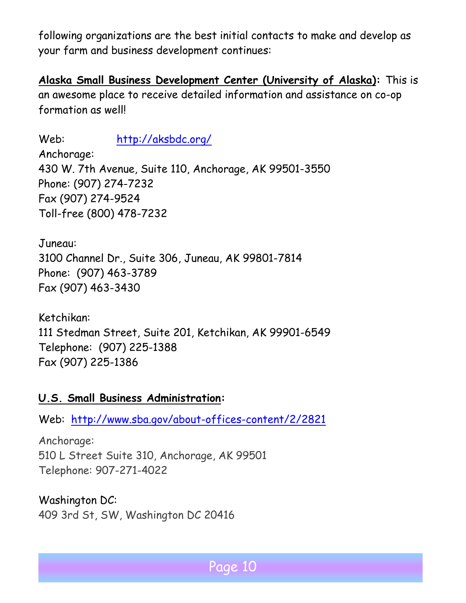following organizations are the best initial contacts to make and develop as your farm and business development continues:

**Alaska Small Business Development Center (University of Alaska):** This is an awesome place to receive detailed information and assistance on co-op formation as well!

Web: <http://aksbdc.org/> Anchorage: 430 W. 7th Avenue, Suite 110, Anchorage, AK 99501-3550 Phone: (907) 274-7232 Fax (907) 274-9524 Toll-free (800) 478-7232

Juneau: 3100 Channel Dr., Suite 306, Juneau, AK 99801-7814 Phone: (907) 463-3789 Fax (907) 463-3430

Ketchikan: 111 Stedman Street, Suite 201, Ketchikan, AK 99901-6549 Telephone: (907) 225-1388 Fax (907) 225-1386

#### **U.S. Small Business Administration:**

Web: <http://www.sba.gov/about-offices-content/2/2821>

Anchorage: 510 L Street Suite 310, Anchorage, AK 99501 Telephone: 907-271-4022

Washington DC: 409 3rd St, SW, Washington DC 20416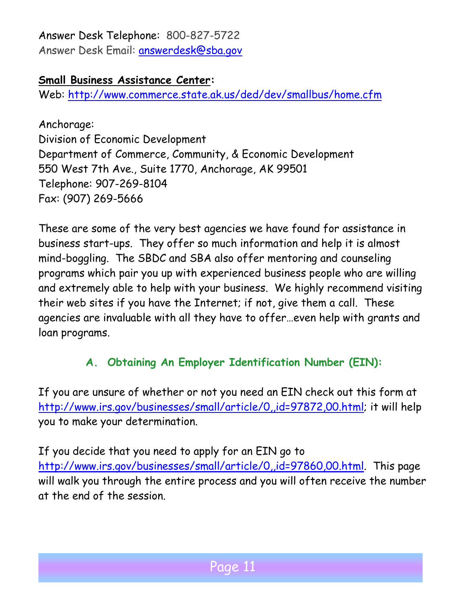# Answer Desk Telephone: 800-827-5722

Answer Desk Email: [answerdesk@sba.gov](mailto:answerdesk@sba.gov)

### **Small Business Assistance Center:**

Web:<http://www.commerce.state.ak.us/ded/dev/smallbus/home.cfm>

Anchorage: Division of Economic Development Department of Commerce, Community, & Economic Development 550 West 7th Ave., Suite 1770, Anchorage, AK 99501 Telephone: 907-269-8104 Fax: (907) 269-5666

These are some of the very best agencies we have found for assistance in business start-ups. They offer so much information and help it is almost mind-boggling. The SBDC and SBA also offer mentoring and counseling programs which pair you up with experienced business people who are willing and extremely able to help with your business. We highly recommend visiting their web sites if you have the Internet; if not, give them a call. These agencies are invaluable with all they have to offer…even help with grants and loan programs.

# **A. Obtaining An Employer Identification Number (EIN):**

If you are unsure of whether or not you need an EIN check out this form at [http://www.irs.gov/businesses/small/article/0,,id=97872,00.html;](http://www.irs.gov/businesses/small/article/0%2C%2Cid=97872%2C00.html) it will help you to make your determination.

If you decide that you need to apply for an EIN go to [http://www.irs.gov/businesses/small/article/0,,id=97860,00.html.](http://www.irs.gov/businesses/small/article/0%2C%2Cid=97860%2C00.html) This page will walk you through the entire process and you will often receive the number at the end of the session.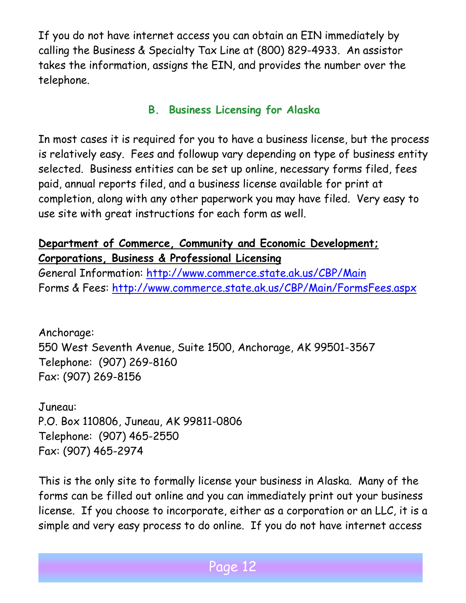If you do not have internet access you can obtain an EIN immediately by calling the Business & Specialty Tax Line at (800) 829-4933. An assistor takes the information, assigns the EIN, and provides the number over the telephone.

### **B. Business Licensing for Alaska**

In most cases it is required for you to have a business license, but the process is relatively easy. Fees and followup vary depending on type of business entity selected. Business entities can be set up online, necessary forms filed, fees paid, annual reports filed, and a business license available for print at completion, along with any other paperwork you may have filed. Very easy to use site with great instructions for each form as well.

### **Department of Commerce, Community and Economic Development; Corporations, Business & Professional Licensing**

General Information:<http://www.commerce.state.ak.us/CBP/Main> Forms & Fees:<http://www.commerce.state.ak.us/CBP/Main/FormsFees.aspx>

Anchorage: 550 West Seventh Avenue, Suite 1500, Anchorage, AK 99501-3567 Telephone: (907) 269-8160 Fax: (907) 269-8156

Juneau: P.O. Box 110806, Juneau, AK 99811-0806 Telephone: (907) 465-2550 Fax: (907) 465-2974

This is the only site to formally license your business in Alaska. Many of the forms can be filled out online and you can immediately print out your business license. If you choose to incorporate, either as a corporation or an LLC, it is a simple and very easy process to do online. If you do not have internet access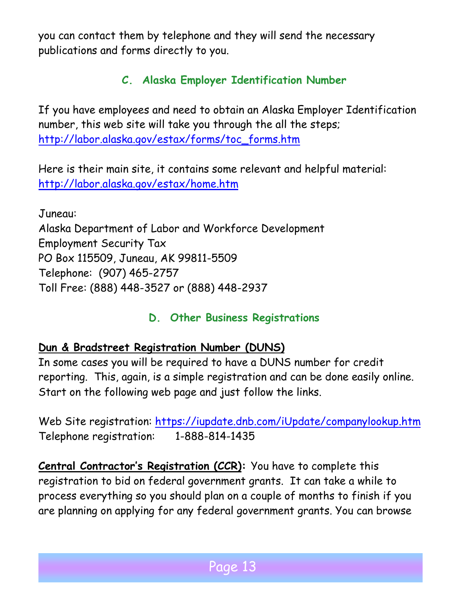you can contact them by telephone and they will send the necessary publications and forms directly to you.

# **C. Alaska Employer Identification Number**

If you have employees and need to obtain an Alaska Employer Identification number, this web site will take you through the all the steps; [http://labor.alaska.gov/estax/forms/toc\\_forms.htm](http://labor.alaska.gov/estax/forms/toc_forms.htm)

Here is their main site, it contains some relevant and helpful material: <http://labor.alaska.gov/estax/home.htm>

Juneau: Alaska Department of Labor and Workforce Development Employment Security Tax PO Box 115509, Juneau, AK 99811-5509 Telephone: (907) 465-2757 Toll Free: (888) 448-3527 or (888) 448-2937

# **D. Other Business Registrations**

### **Dun & Bradstreet Registration Number (DUNS)**

In some cases you will be required to have a DUNS number for credit reporting. This, again, is a simple registration and can be done easily online. Start on the following web page and just follow the links.

Web Site registration:<https://iupdate.dnb.com/iUpdate/companylookup.htm> Telephone registration: 1-888-814-1435

**Central Contractor's Registration (CCR):** You have to complete this registration to bid on federal government grants. It can take a while to process everything so you should plan on a couple of months to finish if you are planning on applying for any federal government grants. You can browse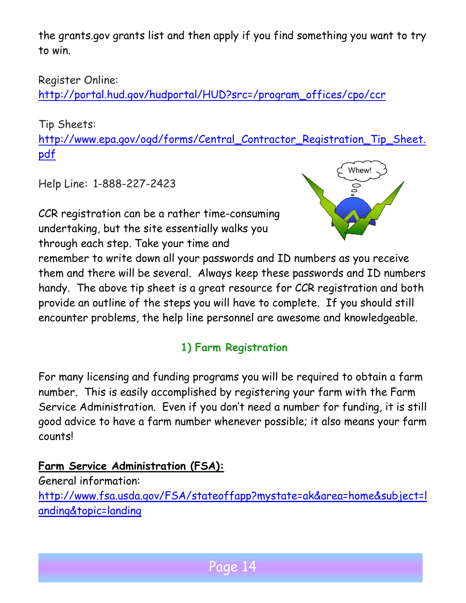the grants.gov grants list and then apply if you find something you want to try to win.

### Register Online:

[http://portal.hud.gov/hudportal/HUD?src=/program\\_offices/cpo/ccr](http://portal.hud.gov/hudportal/HUD?src=/program_offices/cpo/ccr)

Tip Sheets:

[http://www.epa.gov/ogd/forms/Central\\_Contractor\\_Registration\\_Tip\\_Sheet.](http://www.epa.gov/ogd/forms/Central_Contractor_Registration_Tip_Sheet.pdf) [pdf](http://www.epa.gov/ogd/forms/Central_Contractor_Registration_Tip_Sheet.pdf) 

Help Line: 1-888-227-2423

CCR registration can be a rather time-consuming undertaking, but the site essentially walks you through each step. Take your time and



remember to write down all your passwords and ID numbers as you receive them and there will be several. Always keep these passwords and ID numbers handy. The above tip sheet is a great resource for CCR registration and both provide an outline of the steps you will have to complete. If you should still encounter problems, the help line personnel are awesome and knowledgeable.

# **1) Farm Registration**

For many licensing and funding programs you will be required to obtain a farm number. This is easily accomplished by registering your farm with the Farm Service Administration. Even if you don't need a number for funding, it is still good advice to have a farm number whenever possible; it also means your farm counts!

**Farm Service Administration (FSA):**

General information: [http://www.fsa.usda.gov/FSA/stateoffapp?mystate=ak&area=home&subject=l](http://www.fsa.usda.gov/FSA/stateoffapp?mystate=ak&area=home&subject=landing&topic=landing) [anding&topic=landing](http://www.fsa.usda.gov/FSA/stateoffapp?mystate=ak&area=home&subject=landing&topic=landing)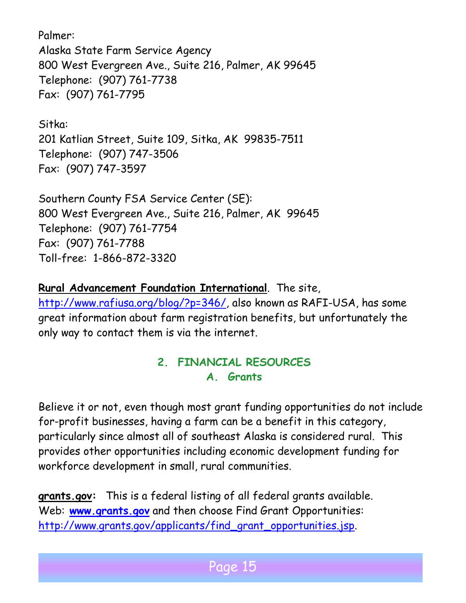Palmer: Alaska State Farm Service Agency 800 West Evergreen Ave., Suite 216, Palmer, AK 99645 Telephone: (907) 761-7738 Fax: (907) 761-7795

Sitka: 201 Katlian Street, Suite 109, Sitka, AK 99835-7511 Telephone: (907) 747-3506 Fax: (907) 747-3597

Southern County FSA Service Center (SE): 800 West Evergreen Ave., Suite 216, Palmer, AK 99645 Telephone: (907) 761-7754 Fax: (907) 761-7788 Toll-free: 1-866-872-3320

**Rural Advancement Foundation International**. The site,

[http://www.rafiusa.org/blog/?p=346/,](http://www.rafiusa.org/blog/?p=346/) also known as RAFI-USA, has some great information about farm registration benefits, but unfortunately the only way to contact them is via the internet.

# **2. FINANCIAL RESOURCES A. Grants**

Believe it or not, even though most grant funding opportunities do not include for-profit businesses, having a farm can be a benefit in this category, particularly since almost all of southeast Alaska is considered rural. This provides other opportunities including economic development funding for workforce development in small, rural communities.

**grants.gov:** This is a federal listing of all federal grants available. Web: **[www.grants.gov](http://www.grants.gov/)** and then choose Find Grant Opportunities: [http://www.grants.gov/applicants/find\\_grant\\_opportunities.jsp.](http://www.grants.gov/applicants/find_grant_opportunities.jsp)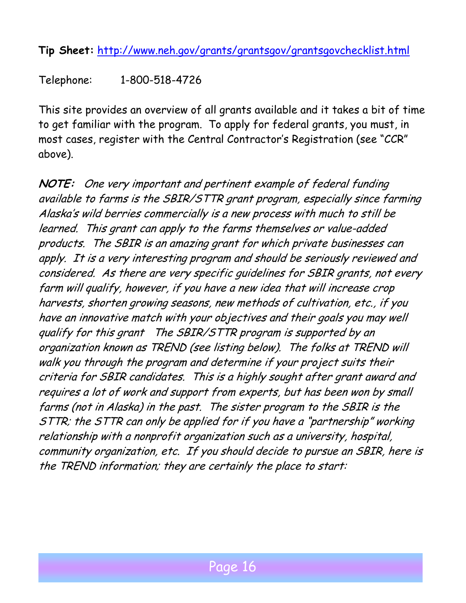**Tip Sheet:** <http://www.neh.gov/grants/grantsgov/grantsgovchecklist.html>

Telephone: 1-800-518-4726

This site provides an overview of all grants available and it takes a bit of time to get familiar with the program. To apply for federal grants, you must, in most cases, register with the Central Contractor's Registration (see "CCR" above).

**NOTE:** One very important and pertinent example of federal funding available to farms is the SBIR/STTR grant program, especially since farming Alaska's wild berries commercially is a new process with much to still be learned. This grant can apply to the farms themselves or value-added products. The SBIR is an amazing grant for which private businesses can apply. It is a very interesting program and should be seriously reviewed and considered. As there are very specific guidelines for SBIR grants, not every farm will qualify, however, if you have a new idea that will increase crop harvests, shorten growing seasons, new methods of cultivation, etc., if you have an innovative match with your objectives and their goals you may well qualify for this grant The SBIR/STTR program is supported by an organization known as TREND (see listing below). The folks at TREND will walk you through the program and determine if your project suits their criteria for SBIR candidates. This is a highly sought after grant award and requires a lot of work and support from experts, but has been won by small farms (not in Alaska) in the past. The sister program to the SBIR is the STTR; the STTR can only be applied for if you have a "partnership" working relationship with a nonprofit organization such as a university, hospital, community organization, etc. If you should decide to pursue an SBIR, here is the TREND information; they are certainly the place to start: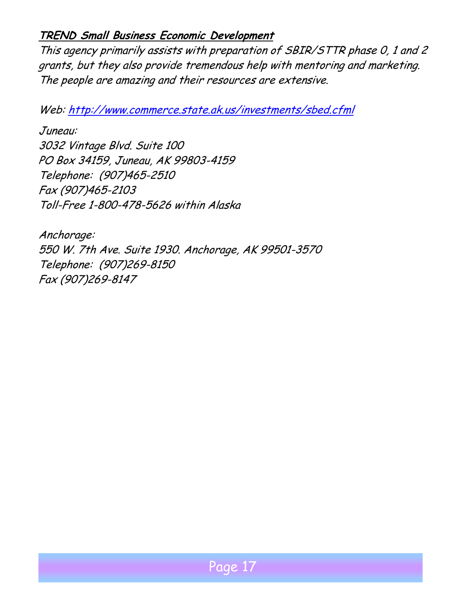#### **TREND Small Business Economic Development**

This agency primarily assists with preparation of SBIR/STTR phase 0, 1 and 2 grants, but they also provide tremendous help with mentoring and marketing. The people are amazing and their resources are extensive.

Web: <http://www.commerce.state.ak.us/investments/sbed.cfml>

Juneau: 3032 Vintage Blvd. Suite 100 PO Box 34159, Juneau, AK 99803-4159 Telephone: (907)465-2510 Fax (907)465-2103 Toll-Free 1-800-478-5626 within Alaska

Anchorage: 550 W. 7th Ave. Suite 1930. Anchorage, AK 99501-3570 Telephone: (907)269-8150 Fax (907)269-8147

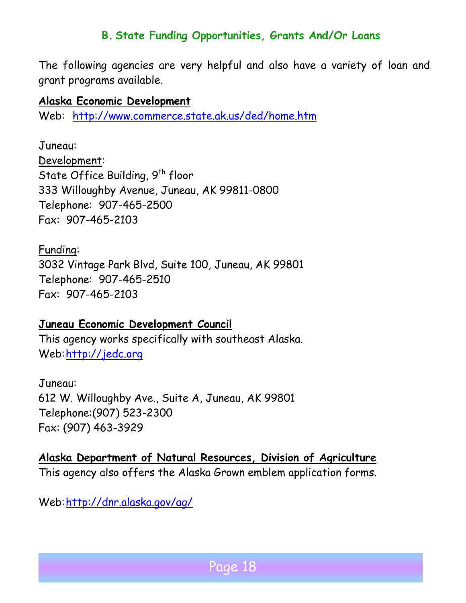#### **B. State Funding Opportunities, Grants And/Or Loans**

The following agencies are very helpful and also have a variety of loan and grant programs available.

#### **Alaska Economic Development**

Web: <http://www.commerce.state.ak.us/ded/home.htm>

Juneau: Development: State Office Building, 9<sup>th</sup> floor 333 Willoughby Avenue, Juneau, AK 99811-0800 Telephone: 907-465-2500 Fax: 907-465-2103

Funding:

3032 Vintage Park Blvd, Suite 100, Juneau, AK 99801 Telephone: 907-465-2510 Fax: 907-465-2103

#### **Juneau Economic Development Council**

This agency works specifically with southeast Alaska. Web: [http://jedc.org](http://jedc.org/)

Juneau: 612 W. Willoughby Ave., Suite A, Juneau, AK 99801 Telephone:(907) 523-2300 Fax: (907) 463-3929

**Alaska Department of Natural Resources, Division of Agriculture** This agency also offers the Alaska Grown emblem application forms.

Web:<http://dnr.alaska.gov/ag/>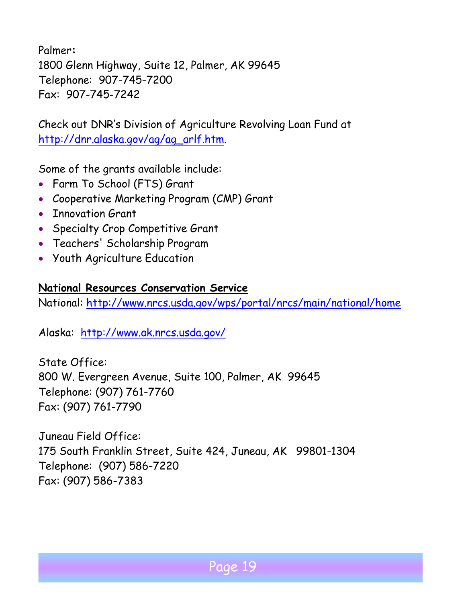Palmer**:**  1800 Glenn Highway, Suite 12, Palmer, AK 99645 Telephone: 907-745-7200 Fax: 907-745-7242

Check out DNR's Division of Agriculture Revolving Loan Fund at [http://dnr.alaska.gov/ag/ag\\_arlf.htm.](http://dnr.alaska.gov/ag/ag_arlf.htm) 

Some of the grants available include:

- Farm To School (FTS) Grant
- Cooperative Marketing Program (CMP) Grant
- Innovation Grant
- Specialty Crop Competitive Grant
- Teachers' Scholarship Program
- Youth Agriculture Education

#### **National Resources Conservation Service**

National:<http://www.nrcs.usda.gov/wps/portal/nrcs/main/national/home>

Alaska: <http://www.ak.nrcs.usda.gov/>

State Office: 800 W. Evergreen Avenue, Suite 100, Palmer, AK 99645 Telephone: (907) 761-7760 Fax: (907) 761-7790

Juneau Field Office: 175 South Franklin Street, Suite 424, Juneau, AK 99801-1304 Telephone: (907) 586-7220 Fax: (907) 586-7383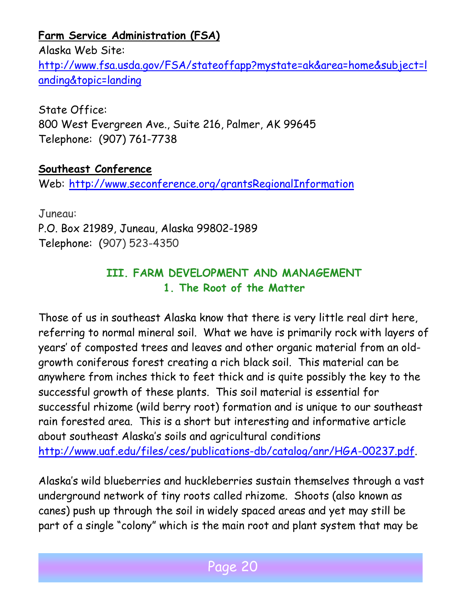**Farm Service Administration (FSA)**

Alaska Web Site: [http://www.fsa.usda.gov/FSA/stateoffapp?mystate=ak&area=home&subject=l](http://www.fsa.usda.gov/FSA/stateoffapp?mystate=ak&area=home&subject=landing&topic=landing) [anding&topic=landing](http://www.fsa.usda.gov/FSA/stateoffapp?mystate=ak&area=home&subject=landing&topic=landing)

State Office: 800 West Evergreen Ave., Suite 216, Palmer, AK 99645 Telephone: (907) 761-7738

#### **Southeast Conference**

Web: <http://www.seconference.org/grantsRegionalInformation>

Juneau: P.O. Box 21989, Juneau, Alaska 99802-1989 Telephone: (907) 523-4350

### **III. FARM DEVELOPMENT AND MANAGEMENT 1. The Root of the Matter**

Those of us in southeast Alaska know that there is very little real dirt here, referring to normal mineral soil. What we have is primarily rock with layers of years' of composted trees and leaves and other organic material from an oldgrowth coniferous forest creating a rich black soil. This material can be anywhere from inches thick to feet thick and is quite possibly the key to the successful growth of these plants. This soil material is essential for successful rhizome (wild berry root) formation and is unique to our southeast rain forested area. This is a short but interesting and informative article about southeast Alaska's soils and agricultural conditions [http://www.uaf.edu/files/ces/publications-db/catalog/anr/HGA-00237.pdf.](http://www.uaf.edu/files/ces/publications-db/catalog/anr/HGA-00237.pdf)

Alaska's wild blueberries and huckleberries sustain themselves through a vast underground network of tiny roots called rhizome. Shoots (also known as canes) push up through the soil in widely spaced areas and yet may still be part of a single "colony" which is the main root and plant system that may be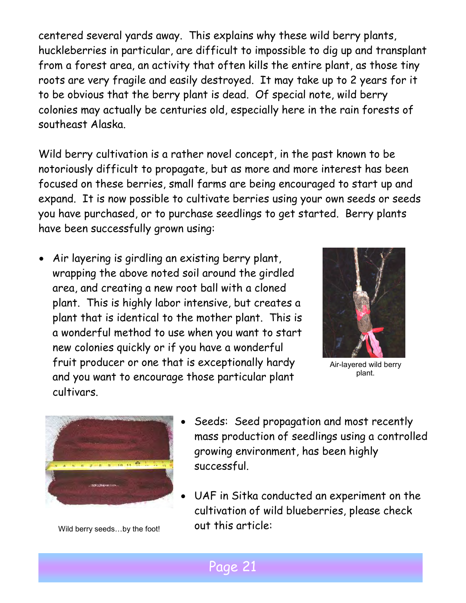centered several yards away. This explains why these wild berry plants, huckleberries in particular, are difficult to impossible to dig up and transplant from a forest area, an activity that often kills the entire plant, as those tiny roots are very fragile and easily destroyed. It may take up to 2 years for it to be obvious that the berry plant is dead. Of special note, wild berry colonies may actually be centuries old, especially here in the rain forests of southeast Alaska.

Wild berry cultivation is a rather novel concept, in the past known to be notoriously difficult to propagate, but as more and more interest has been focused on these berries, small farms are being encouraged to start up and expand. It is now possible to cultivate berries using your own seeds or seeds you have purchased, or to purchase seedlings to get started. Berry plants have been successfully grown using:

• Air layering is girdling an existing berry plant, wrapping the above noted soil around the girdled area, and creating a new root ball with a cloned plant. This is highly labor intensive, but creates a plant that is identical to the mother plant. This is a wonderful method to use when you want to start new colonies quickly or if you have a wonderful fruit producer or one that is exceptionally hardy and you want to encourage those particular plant cultivars.



Air-layered wild berry plant.



Wild berry seeds...by the foot!

- Seeds: Seed propagation and most recently mass production of seedlings using a controlled growing environment, has been highly successful.
- UAF in Sitka conducted an experiment on the cultivation of wild blueberries, please check out this article: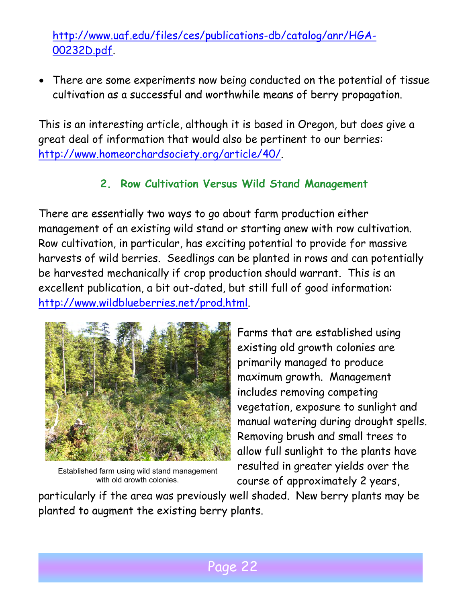[http://www.uaf.edu/files/ces/publications-db/catalog/anr/HGA-](http://www.uaf.edu/files/ces/publications-db/catalog/anr/HGA-00232D.pdf)[00232D.pdf.](http://www.uaf.edu/files/ces/publications-db/catalog/anr/HGA-00232D.pdf)

• There are some experiments now being conducted on the potential of tissue cultivation as a successful and worthwhile means of berry propagation.

This is an interesting article, although it is based in Oregon, but does give a great deal of information that would also be pertinent to our berries: [http://www.homeorchardsociety.org/article/40/.](http://www.homeorchardsociety.org/article/40/)

### **2. Row Cultivation Versus Wild Stand Management**

There are essentially two ways to go about farm production either management of an existing wild stand or starting anew with row cultivation. Row cultivation, in particular, has exciting potential to provide for massive harvests of wild berries. Seedlings can be planted in rows and can potentially be harvested mechanically if crop production should warrant. This is an excellent publication, a bit out-dated, but still full of good information: [http://www.wildblueberries.net/prod.html.](http://www.wildblueberries.net/prod.html)



Established farm using wild stand management with old arowth colonies.

Farms that are established using existing old growth colonies are primarily managed to produce maximum growth. Management includes removing competing vegetation, exposure to sunlight and manual watering during drought spells. Removing brush and small trees to allow full sunlight to the plants have resulted in greater yields over the course of approximately 2 years,

particularly if the area was previously well shaded. New berry plants may be planted to augment the existing berry plants.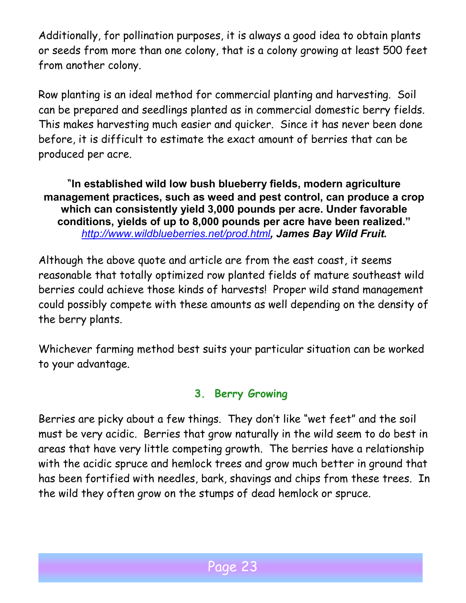Additionally, for pollination purposes, it is always a good idea to obtain plants or seeds from more than one colony, that is a colony growing at least 500 feet from another colony.

Row planting is an ideal method for commercial planting and harvesting. Soil can be prepared and seedlings planted as in commercial domestic berry fields. This makes harvesting much easier and quicker. Since it has never been done before, it is difficult to estimate the exact amount of berries that can be produced per acre.

"**In established wild low bush blueberry fields, modern agriculture management practices, such as weed and pest control, can produce a crop which can consistently yield 3,000 pounds per acre. Under favorable conditions, yields of up to 8,000 pounds per acre have been realized."**  *<http://www.wildblueberries.net/prod.html>, James Bay Wild Fruit.*

Although the above quote and article are from the east coast, it seems reasonable that totally optimized row planted fields of mature southeast wild berries could achieve those kinds of harvests! Proper wild stand management could possibly compete with these amounts as well depending on the density of the berry plants.

Whichever farming method best suits your particular situation can be worked to your advantage.

### **3. Berry Growing**

Berries are picky about a few things. They don't like "wet feet" and the soil must be very acidic. Berries that grow naturally in the wild seem to do best in areas that have very little competing growth. The berries have a relationship with the acidic spruce and hemlock trees and grow much better in ground that has been fortified with needles, bark, shavings and chips from these trees. In the wild they often grow on the stumps of dead hemlock or spruce.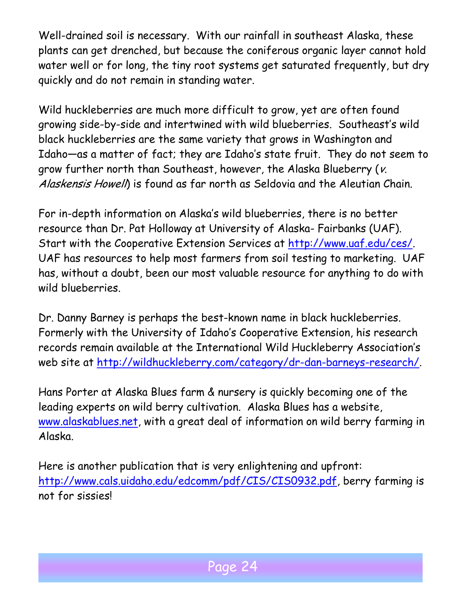Well-drained soil is necessary. With our rainfall in southeast Alaska, these plants can get drenched, but because the coniferous organic layer cannot hold water well or for long, the tiny root systems get saturated frequently, but dry quickly and do not remain in standing water.

Wild huckleberries are much more difficult to grow, yet are often found growing side-by-side and intertwined with wild blueberries. Southeast's wild black huckleberries are the same variety that grows in Washington and Idaho—as a matter of fact; they are Idaho's state fruit. They do not seem to grow further north than Southeast, however, the Alaska Blueberry (v. Alaskensis Howell) is found as far north as Seldovia and the Aleutian Chain.

For in-depth information on Alaska's wild blueberries, there is no better resource than Dr. Pat Holloway at University of Alaska- Fairbanks (UAF). Start with the Cooperative Extension Services at [http://www.uaf.edu/ces/.](http://www.uaf.edu/ces/) UAF has resources to help most farmers from soil testing to marketing. UAF has, without a doubt, been our most valuable resource for anything to do with wild blueberries.

Dr. Danny Barney is perhaps the best-known name in black huckleberries. Formerly with the University of Idaho's Cooperative Extension, his research records remain available at the International Wild Huckleberry Association's web site at [http://wildhuckleberry.com/category/dr-dan-barneys-research/.](http://wildhuckleberry.com/category/dr-dan-barneys-research/)

Hans Porter at Alaska Blues farm & nursery is quickly becoming one of the leading experts on wild berry cultivation. Alaska Blues has a website, [www.alaskablues.net,](http://www.alaskablues.net/) with a great deal of information on wild berry farming in Alaska.

Here is another publication that is very enlightening and upfront: [http://www.cals.uidaho.edu/edcomm/pdf/CIS/CIS0932.pdf,](http://www.cals.uidaho.edu/edcomm/pdf/CIS/CIS0932.pdf) berry farming is not for sissies!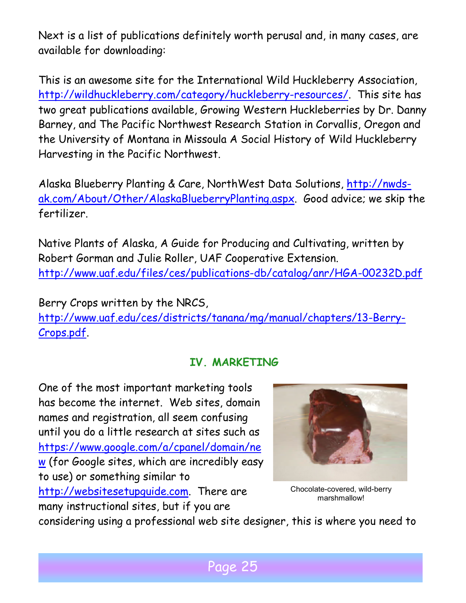Next is a list of publications definitely worth perusal and, in many cases, are available for downloading:

This is an awesome site for the International Wild Huckleberry Association, [http://wildhuckleberry.com/category/huckleberry-resources/.](http://wildhuckleberry.com/category/huckleberry-resources/) This site has two great publications available, Growing Western Huckleberries by Dr. Danny Barney, and The Pacific Northwest Research Station in Corvallis, Oregon and the University of Montana in Missoula A Social History of Wild Huckleberry Harvesting in the Pacific Northwest.

Alaska Blueberry Planting & Care, NorthWest Data Solutions, [http://nwds](http://nwds-ak.com/About/Other/AlaskaBlueberryPlanting.aspx)[ak.com/About/Other/AlaskaBlueberryPlanting.aspx.](http://nwds-ak.com/About/Other/AlaskaBlueberryPlanting.aspx) Good advice; we skip the fertilizer.

Native Plants of Alaska, A Guide for Producing and Cultivating, written by Robert Gorman and Julie Roller, UAF Cooperative Extension. <http://www.uaf.edu/files/ces/publications-db/catalog/anr/HGA-00232D.pdf>

Berry Crops written by the NRCS,

[http://www.uaf.edu/ces/districts/tanana/mg/manual/chapters/13-Berry-](http://www.uaf.edu/ces/districts/tanana/mg/manual/chapters/13-Berry-Crops.pdf)[Crops.pdf.](http://www.uaf.edu/ces/districts/tanana/mg/manual/chapters/13-Berry-Crops.pdf)

# **IV. MARKETING**

One of the most important marketing tools has become the internet. Web sites, domain names and registration, all seem confusing until you do a little research at sites such as [https://www.google.com/a/cpanel/domain/ne](https://www.google.com/a/cpanel/domain/new) [w](https://www.google.com/a/cpanel/domain/new) (for Google sites, which are incredibly easy to use) or something similar to [http://websitesetupguide.com.](http://websitesetupguide.com/) There are many instructional sites, but if you are



Chocolate-covered, wild-berry marshmallow!

considering using a professional web site designer, this is where you need to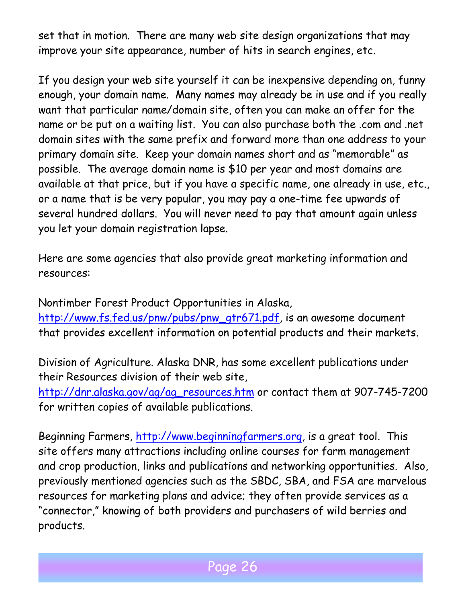set that in motion. There are many web site design organizations that may improve your site appearance, number of hits in search engines, etc.

If you design your web site yourself it can be inexpensive depending on, funny enough, your domain name. Many names may already be in use and if you really want that particular name/domain site, often you can make an offer for the name or be put on a waiting list. You can also purchase both the .com and .net domain sites with the same prefix and forward more than one address to your primary domain site. Keep your domain names short and as "memorable" as possible. The average domain name is \$10 per year and most domains are available at that price, but if you have a specific name, one already in use, etc., or a name that is be very popular, you may pay a one-time fee upwards of several hundred dollars. You will never need to pay that amount again unless you let your domain registration lapse.

Here are some agencies that also provide great marketing information and resources:

Nontimber Forest Product Opportunities in Alaska, [http://www.fs.fed.us/pnw/pubs/pnw\\_gtr671.pdf,](http://www.fs.fed.us/pnw/pubs/pnw_gtr671.pdf) is an awesome document that provides excellent information on potential products and their markets.

Division of Agriculture. Alaska DNR, has some excellent publications under their Resources division of their web site, [http://dnr.alaska.gov/ag/ag\\_resources.htm](http://dnr.alaska.gov/ag/ag_resources.htm) or contact them at 907-745-7200 for written copies of available publications.

Beginning Farmers, [http://www.beginningfarmers.org,](http://www.beginningfarmers.org/) is a great tool. This site offers many attractions including online courses for farm management and crop production, links and publications and networking opportunities. Also, previously mentioned agencies such as the SBDC, SBA, and FSA are marvelous resources for marketing plans and advice; they often provide services as a "connector," knowing of both providers and purchasers of wild berries and products.

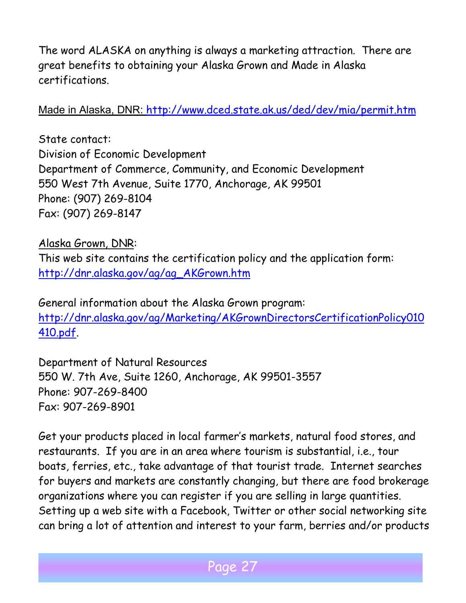The word ALASKA on anything is always a marketing attraction. There are great benefits to obtaining your Alaska Grown and Made in Alaska certifications.

Made in Alaska, DNR: <http://www.dced.state.ak.us/ded/dev/mia/permit.htm>

State contact: Division of Economic Development Department of Commerce, Community, and Economic Development 550 West 7th Avenue, Suite 1770, Anchorage, AK 99501 Phone: (907) 269-8104 Fax: (907) 269-8147

#### Alaska Grown, DNR:

This web site contains the certification policy and the application form: [http://dnr.alaska.gov/ag/ag\\_AKGrown.htm](http://dnr.alaska.gov/ag/ag_AKGrown.htm)

General information about the Alaska Grown program: [http://dnr.alaska.gov/ag/Marketing/AKGrownDirectorsCertificationPolicy010](http://dnr.alaska.gov/ag/Marketing/AKGrownDirectorsCertificationPolicy010410.pdf) [410.pdf.](http://dnr.alaska.gov/ag/Marketing/AKGrownDirectorsCertificationPolicy010410.pdf)

Department of Natural Resources 550 W. 7th Ave, Suite 1260, Anchorage, AK 99501-3557 Phone: 907-269-8400 Fax: 907-269-8901

Get your products placed in local farmer's markets, natural food stores, and restaurants. If you are in an area where tourism is substantial, i.e., tour boats, ferries, etc., take advantage of that tourist trade. Internet searches for buyers and markets are constantly changing, but there are food brokerage organizations where you can register if you are selling in large quantities. Setting up a web site with a Facebook, Twitter or other social networking site can bring a lot of attention and interest to your farm, berries and/or products